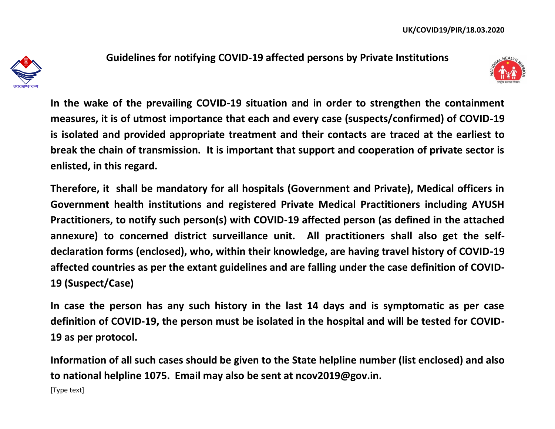

**Guidelines for notifying COVID-19 affected persons by Private Institutions** 



**In the wake of the prevailing COVID-19 situation and in order to strengthen the containment measures, it is of utmost importance that each and every case (suspects/confirmed) of COVID-19 is isolated and provided appropriate treatment and their contacts are traced at the earliest to break the chain of transmission. It is important that support and cooperation of private sector is enlisted, in this regard.** 

**Therefore, it shall be mandatory for all hospitals (Government and Private), Medical officers in Government health institutions and registered Private Medical Practitioners including AYUSH Practitioners, to notify such person(s) with COVID-19 affected person (as defined in the attached annexure) to concerned district surveillance unit. All practitioners shall also get the selfdeclaration forms (enclosed), who, within their knowledge, are having travel history of COVID-19 affected countries as per the extant guidelines and are falling under the case definition of COVID-19 (Suspect/Case)** 

**In case the person has any such history in the last 14 days and is symptomatic as per case definition of COVID-19, the person must be isolated in the hospital and will be tested for COVID-19 as per protocol.** 

**Information of all such cases should be given to the State helpline number (list enclosed) and also to national helpline 1075. Email may also be sent at ncov2019@gov.in.**

[Type text]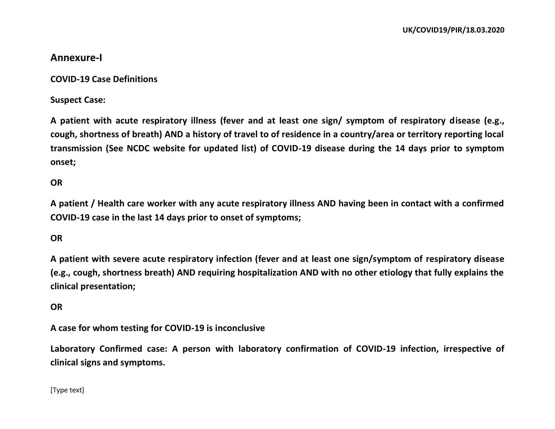## **Annexure-I**

**COVID-19 Case Definitions** 

## **Suspect Case:**

**A patient with acute respiratory illness (fever and at least one sign/ symptom of respiratory disease (e.g., cough, shortness of breath) AND a history of travel to of residence in a country/area or territory reporting local transmission (See NCDC website for updated list) of COVID-19 disease during the 14 days prior to symptom onset;** 

## **OR**

**A patient / Health care worker with any acute respiratory illness AND having been in contact with a confirmed COVID-19 case in the last 14 days prior to onset of symptoms;** 

### **OR**

**A patient with severe acute respiratory infection (fever and at least one sign/symptom of respiratory disease (e.g., cough, shortness breath) AND requiring hospitalization AND with no other etiology that fully explains the clinical presentation;** 

### **OR**

**A case for whom testing for COVID-19 is inconclusive** 

**Laboratory Confirmed case: A person with laboratory confirmation of COVID-19 infection, irrespective of clinical signs and symptoms.**

#### [Type text]